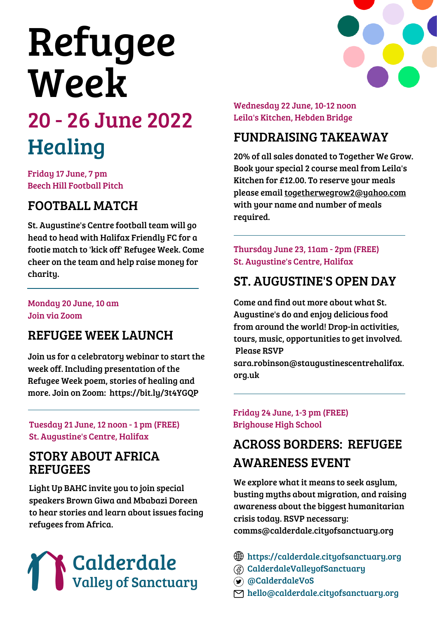# Refugee Week

# 20 - 26 June 2022 Healing

Friday 17 June, 7 pm Beech Hill Football Pitch

# FOOTBALL MATCH

St. Augustine's Centre football team will go head to head with Halifax Friendly FC for a footie match to 'kick off' Refugee Week. Come cheer on the team and help raise money for charity.

#### Monday 20 June, 10 am Join via Zoom

#### REFUGEE WEEK LAUNCH

Join us for a celebratory webinar to start the week off. Including presentation of the Refugee Week poem, stories of healing and more. Join on Zoom: https://bit.ly/3t4YGQP

Tuesday 21 June, 12 noon - 1 pm (FREE) St. Augustine's Centre, Halifax

#### STORY ABOUT AFRICA REFUGEES

Light Up BAHC invite you to join special speakers Brown Giwa and Mbabazi Doreen to hear stories and learn about issues facing refugees from Africa.



Wednesday 22 June, 10-12 noon Leila's Kitchen, Hebden Bridge

#### FUNDRAISING TAKEAWAY

20% of all sales donated to Together We Grow. Book your special 2 course meal from Leila's Kitchen for £12.00. To reserve your meals please email togetherwegrow2@yahoo.com with your name and number of meals required.

Thursday June 23, 11am - 2pm (FREE) St. Augustine's Centre, Halifax

#### ST. AUGUSTINE'S OPEN DAY

Come and find out more about what St. Augustine's do and enjoy delicious food from around the world! Drop-in activities, tours, music, opportunities to get involved. Please RSVP

sara.robinson@staugustinescentrehalifax. org.uk

Friday 24 June, 1-3 pm (FREE) Brighouse High School

# ACROSS BORDERS: REFUGEE AWARENESS EVENT

We explore what it means to seek asylum, busting myths about migration, and raising awareness about the biggest humanitarian crisis today. RSVP necessary: comms@calderdale.cityofsanctuary.org

- https://calderdale.cityofsanctuary.org
- CalderdaleValleyofSanctuary
- @CalderdaleVoS
- hello@calderdale.cityofsanctuary.org